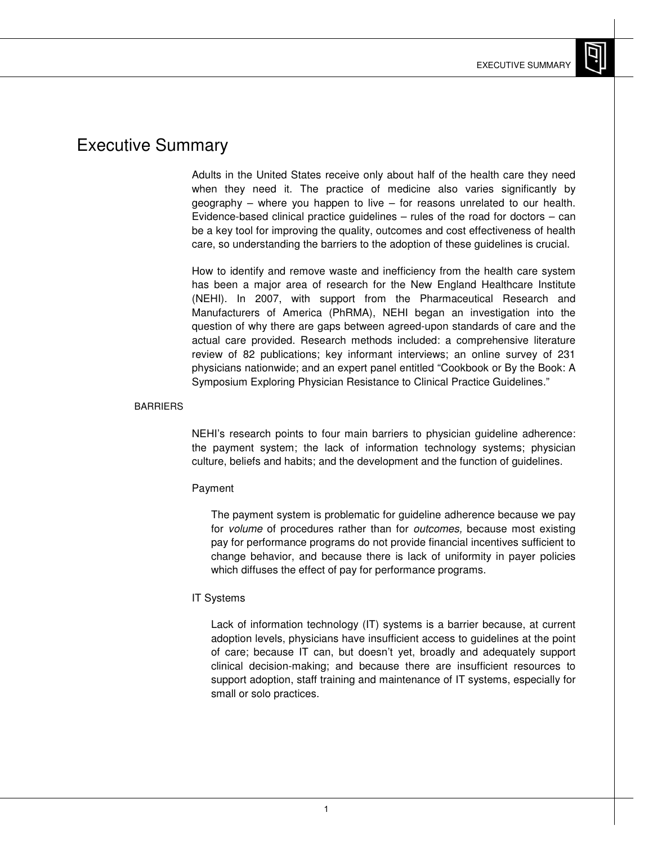

# Executive Summary

Adults in the United States receive only about half of the health care they need when they need it. The practice of medicine also varies significantly by geography – where you happen to live – for reasons unrelated to our health. Evidence-based clinical practice guidelines – rules of the road for doctors – can be a key tool for improving the quality, outcomes and cost effectiveness of health care, so understanding the barriers to the adoption of these guidelines is crucial.

How to identify and remove waste and inefficiency from the health care system has been a major area of research for the New England Healthcare Institute (NEHI). In 2007, with support from the Pharmaceutical Research and Manufacturers of America (PhRMA), NEHI began an investigation into the question of why there are gaps between agreed-upon standards of care and the actual care provided. Research methods included: a comprehensive literature review of 82 publications; key informant interviews; an online survey of 231 physicians nationwide; and an expert panel entitled "Cookbook or By the Book: A Symposium Exploring Physician Resistance to Clinical Practice Guidelines."

### **BARRIERS**

NEHI's research points to four main barriers to physician guideline adherence: the payment system; the lack of information technology systems; physician culture, beliefs and habits; and the development and the function of guidelines.

### Payment

The payment system is problematic for guideline adherence because we pay for volume of procedures rather than for *outcomes*, because most existing pay for performance programs do not provide financial incentives sufficient to change behavior, and because there is lack of uniformity in payer policies which diffuses the effect of pay for performance programs.

### IT Systems

Lack of information technology (IT) systems is a barrier because, at current adoption levels, physicians have insufficient access to guidelines at the point of care; because IT can, but doesn't yet, broadly and adequately support clinical decision-making; and because there are insufficient resources to support adoption, staff training and maintenance of IT systems, especially for small or solo practices.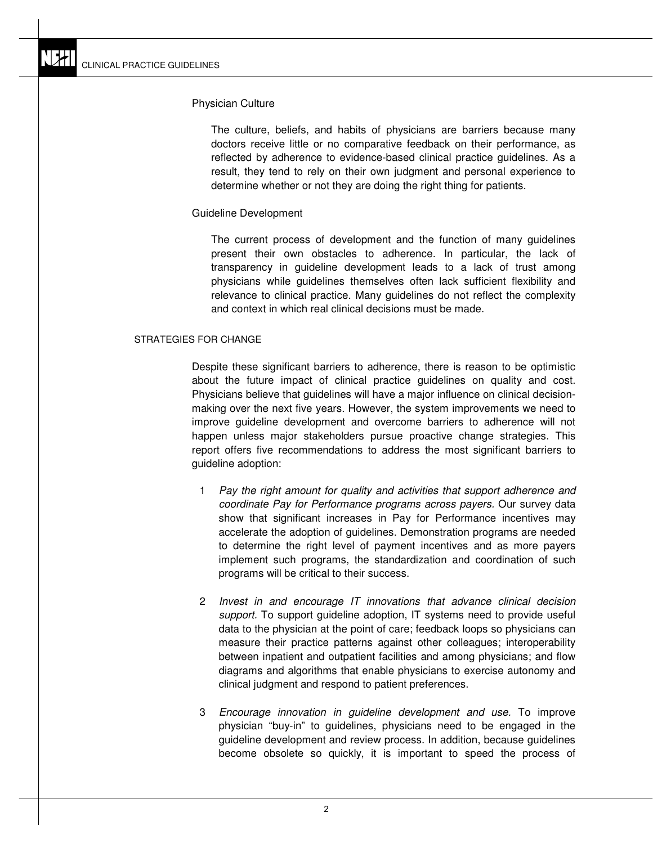#### Physician Culture

The culture, beliefs, and habits of physicians are barriers because many doctors receive little or no comparative feedback on their performance, as reflected by adherence to evidence-based clinical practice guidelines. As a result, they tend to rely on their own judgment and personal experience to determine whether or not they are doing the right thing for patients.

### Guideline Development

The current process of development and the function of many guidelines present their own obstacles to adherence. In particular, the lack of transparency in guideline development leads to a lack of trust among physicians while guidelines themselves often lack sufficient flexibility and relevance to clinical practice. Many guidelines do not reflect the complexity and context in which real clinical decisions must be made.

## STRATEGIES FOR CHANGE

Despite these significant barriers to adherence, there is reason to be optimistic about the future impact of clinical practice guidelines on quality and cost. Physicians believe that guidelines will have a major influence on clinical decisionmaking over the next five years. However, the system improvements we need to improve guideline development and overcome barriers to adherence will not happen unless major stakeholders pursue proactive change strategies. This report offers five recommendations to address the most significant barriers to guideline adoption:

- 1 Pay the right amount for quality and activities that support adherence and coordinate Pay for Performance programs across payers. Our survey data show that significant increases in Pay for Performance incentives may accelerate the adoption of guidelines. Demonstration programs are needed to determine the right level of payment incentives and as more payers implement such programs, the standardization and coordination of such programs will be critical to their success.
- 2 Invest in and encourage IT innovations that advance clinical decision support. To support guideline adoption, IT systems need to provide useful data to the physician at the point of care; feedback loops so physicians can measure their practice patterns against other colleagues; interoperability between inpatient and outpatient facilities and among physicians; and flow diagrams and algorithms that enable physicians to exercise autonomy and clinical judgment and respond to patient preferences.
- 3 Encourage innovation in guideline development and use. To improve physician "buy-in" to guidelines, physicians need to be engaged in the guideline development and review process. In addition, because guidelines become obsolete so quickly, it is important to speed the process of